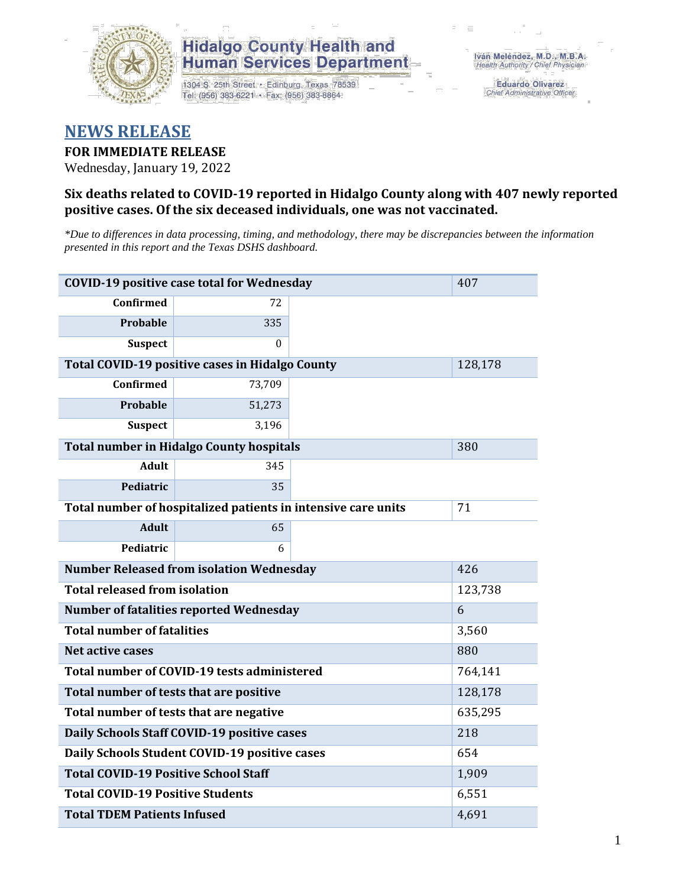

1304 S. 25th Street · Edinburg, Texas 78539 Tel: (956) 383-6221 · Fax: (956) 383-8864

**Eduardo Olivarez** Chief Administrative Officer

### **NEWS RELEASE**

#### **FOR IMMEDIATE RELEASE**

Wednesday, January 19, 2022

#### **Six deaths related to COVID-19 reported in Hidalgo County along with 407 newly reported positive cases. Of the six deceased individuals, one was not vaccinated.**

*\*Due to differences in data processing, timing, and methodology, there may be discrepancies between the information presented in this report and the Texas DSHS dashboard.*

| <b>COVID-19 positive case total for Wednesday</b><br>407      |                                                 |     |         |  |  |  |
|---------------------------------------------------------------|-------------------------------------------------|-----|---------|--|--|--|
| <b>Confirmed</b>                                              | 72                                              |     |         |  |  |  |
| Probable                                                      | 335                                             |     |         |  |  |  |
| <b>Suspect</b>                                                | 0                                               |     |         |  |  |  |
|                                                               | Total COVID-19 positive cases in Hidalgo County |     | 128,178 |  |  |  |
| <b>Confirmed</b>                                              | 73,709                                          |     |         |  |  |  |
| Probable                                                      | 51,273                                          |     |         |  |  |  |
| <b>Suspect</b>                                                | 3,196                                           |     |         |  |  |  |
|                                                               | <b>Total number in Hidalgo County hospitals</b> |     | 380     |  |  |  |
| <b>Adult</b>                                                  | 345                                             |     |         |  |  |  |
| Pediatric                                                     | 35                                              |     |         |  |  |  |
| Total number of hospitalized patients in intensive care units | 71                                              |     |         |  |  |  |
| <b>Adult</b>                                                  | 65                                              |     |         |  |  |  |
| Pediatric                                                     | 6                                               |     |         |  |  |  |
| <b>Number Released from isolation Wednesday</b>               | 426                                             |     |         |  |  |  |
| <b>Total released from isolation</b><br>123,738               |                                                 |     |         |  |  |  |
|                                                               | <b>Number of fatalities reported Wednesday</b>  |     | 6       |  |  |  |
| <b>Total number of fatalities</b>                             |                                                 |     | 3,560   |  |  |  |
| <b>Net active cases</b>                                       |                                                 |     | 880     |  |  |  |
|                                                               | Total number of COVID-19 tests administered     |     | 764,141 |  |  |  |
| Total number of tests that are positive                       | 128,178                                         |     |         |  |  |  |
| Total number of tests that are negative                       | 635,295                                         |     |         |  |  |  |
| Daily Schools Staff COVID-19 positive cases                   |                                                 | 218 |         |  |  |  |
|                                                               | Daily Schools Student COVID-19 positive cases   |     | 654     |  |  |  |
| <b>Total COVID-19 Positive School Staff</b>                   | 1,909                                           |     |         |  |  |  |
| <b>Total COVID-19 Positive Students</b>                       |                                                 |     | 6,551   |  |  |  |
| <b>Total TDEM Patients Infused</b>                            | 4,691                                           |     |         |  |  |  |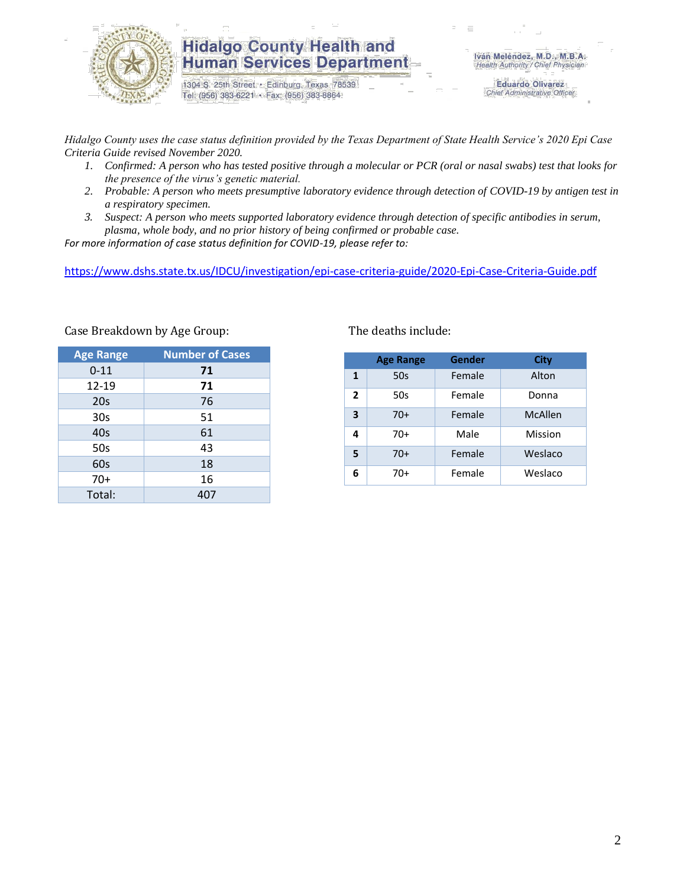

1304 S. 25th Street · Edinburg, Texas 78539 Tel: (956) 383-6221 · Fax: (956) 383-8864

**Eduardo Olivarez** Chief Administrative Officer

*Hidalgo County uses the case status definition provided by the Texas Department of State Health Service's 2020 Epi Case Criteria Guide revised November 2020.*

- *1. Confirmed: A person who has tested positive through a molecular or PCR (oral or nasal swabs) test that looks for the presence of the virus's genetic material.*
- *2. Probable: A person who meets presumptive laboratory evidence through detection of COVID-19 by antigen test in a respiratory specimen.*
- *3. Suspect: A person who meets supported laboratory evidence through detection of specific antibodies in serum, plasma, whole body, and no prior history of being confirmed or probable case.*

*For more information of case status definition for COVID-19, please refer to:*

<https://www.dshs.state.tx.us/IDCU/investigation/epi-case-criteria-guide/2020-Epi-Case-Criteria-Guide.pdf>

| <b>Age Range</b> | <b>Number of Cases</b> |
|------------------|------------------------|
| $0 - 11$         | 71                     |
| 12-19            | 71                     |
| 20s              | 76                     |
| 30s              | 51                     |
| 40s              | 61                     |
| 50s              | 43                     |
| 60s              | 18                     |
| $70+$            | 16                     |
| Total:           | 407                    |

#### Case Breakdown by Age Group: The deaths include:

|                | <b>Age Range</b> | Gender | City           |
|----------------|------------------|--------|----------------|
| 1              | 50s              | Female | Alton          |
| $\overline{2}$ | 50s              | Female | Donna          |
| 3              | $70+$            | Female | <b>McAllen</b> |
| 4              | 70+              | Male   | Mission        |
| 5              | 70+              | Female | Weslaco        |
| 6              | 70+              | Female | Weslaco        |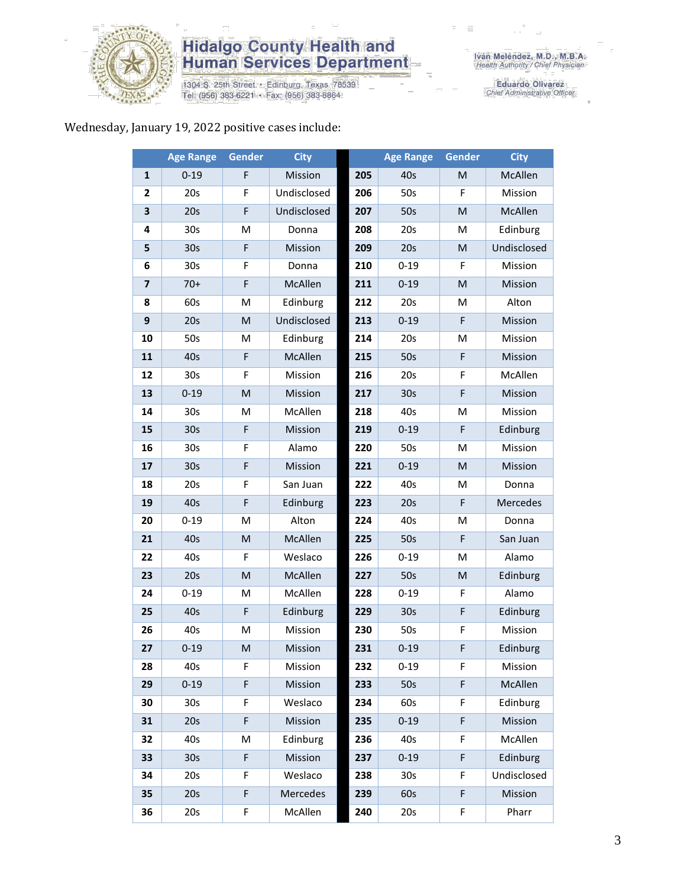

1304 S. 25th Street • Edinburg, Texas 78539<br>Tel: (956) 383-6221 • Fax: (956) 383-8864

Eduardo Olivarez<br>Chief Administrative Officer

#### Wednesday, January 19, 2022 positive cases include:

|                         | <b>Age Range</b> | <b>Gender</b> | <b>City</b> |     | <b>Age Range</b> | <b>Gender</b> | <b>City</b> |
|-------------------------|------------------|---------------|-------------|-----|------------------|---------------|-------------|
| 1                       | $0 - 19$         | F             | Mission     | 205 | 40s              | M             | McAllen     |
| 2                       | 20s              | F             | Undisclosed | 206 | 50s              | F             | Mission     |
| 3                       | 20s              | F             | Undisclosed | 207 | 50s              | M             | McAllen     |
| 4                       | 30 <sub>s</sub>  | M             | Donna       | 208 | 20s              | M             | Edinburg    |
| 5                       | 30 <sub>s</sub>  | F             | Mission     | 209 | 20s              | M             | Undisclosed |
| 6                       | 30 <sub>s</sub>  | F             | Donna       | 210 | $0 - 19$         | F             | Mission     |
| $\overline{\mathbf{z}}$ | $70+$            | F             | McAllen     | 211 | $0 - 19$         | M             | Mission     |
| 8                       | 60s              | M             | Edinburg    | 212 | 20s              | M             | Alton       |
| 9                       | 20s              | M             | Undisclosed | 213 | $0 - 19$         | F             | Mission     |
| 10                      | 50s              | M             | Edinburg    | 214 | 20s              | M             | Mission     |
| 11                      | 40s              | F             | McAllen     | 215 | 50s              | F             | Mission     |
| 12                      | 30s              | F             | Mission     | 216 | 20s              | F             | McAllen     |
| 13                      | $0 - 19$         | M             | Mission     | 217 | 30s              | F             | Mission     |
| 14                      | 30 <sub>s</sub>  | М             | McAllen     | 218 | 40s              | м             | Mission     |
| 15                      | 30 <sub>s</sub>  | F             | Mission     | 219 | $0 - 19$         | F             | Edinburg    |
| 16                      | 30 <sub>s</sub>  | F             | Alamo       | 220 | 50s              | M             | Mission     |
| 17                      | 30 <sub>s</sub>  | F             | Mission     | 221 | $0 - 19$         | M             | Mission     |
| 18                      | 20s              | F             | San Juan    | 222 | 40s              | M             | Donna       |
| 19                      | 40s              | F             | Edinburg    | 223 | 20s              | F             | Mercedes    |
| 20                      | $0 - 19$         | M             | Alton       | 224 | 40s              | M             | Donna       |
| 21                      | 40s              | M             | McAllen     | 225 | 50s              | F             | San Juan    |
| 22                      | 40s              | F             | Weslaco     | 226 | $0 - 19$         | M             | Alamo       |
| 23                      | 20s              | M             | McAllen     | 227 | 50s              | M             | Edinburg    |
| 24                      | $0 - 19$         | M             | McAllen     | 228 | $0 - 19$         | F             | Alamo       |
| 25                      | 40s              | F             | Edinburg    | 229 | 30s              | F             | Edinburg    |
| 26                      | 40s              | M             | Mission     | 230 | 50s              | F             | Mission     |
| 27                      | $0 - 19$         | M             | Mission     | 231 | $0 - 19$         | F             | Edinburg    |
| 28                      | 40s              | F             | Mission     | 232 | $0 - 19$         | F.            | Mission     |
| 29                      | $0 - 19$         | F             | Mission     | 233 | 50s              | F             | McAllen     |
| 30                      | 30 <sub>s</sub>  | F             | Weslaco     | 234 | 60s              | F             | Edinburg    |
| 31                      | 20s              | F             | Mission     | 235 | $0 - 19$         | F             | Mission     |
| 32                      | 40s              | M             | Edinburg    | 236 | 40s              | F             | McAllen     |
| 33                      | 30 <sub>s</sub>  | F             | Mission     | 237 | $0 - 19$         | F             | Edinburg    |
| 34                      | 20s              | F             | Weslaco     | 238 | 30 <sub>s</sub>  | F             | Undisclosed |
| 35                      | 20s              | F             | Mercedes    | 239 | 60s              | F             | Mission     |
| 36                      | 20s              | F             | McAllen     | 240 | 20s              | F             | Pharr       |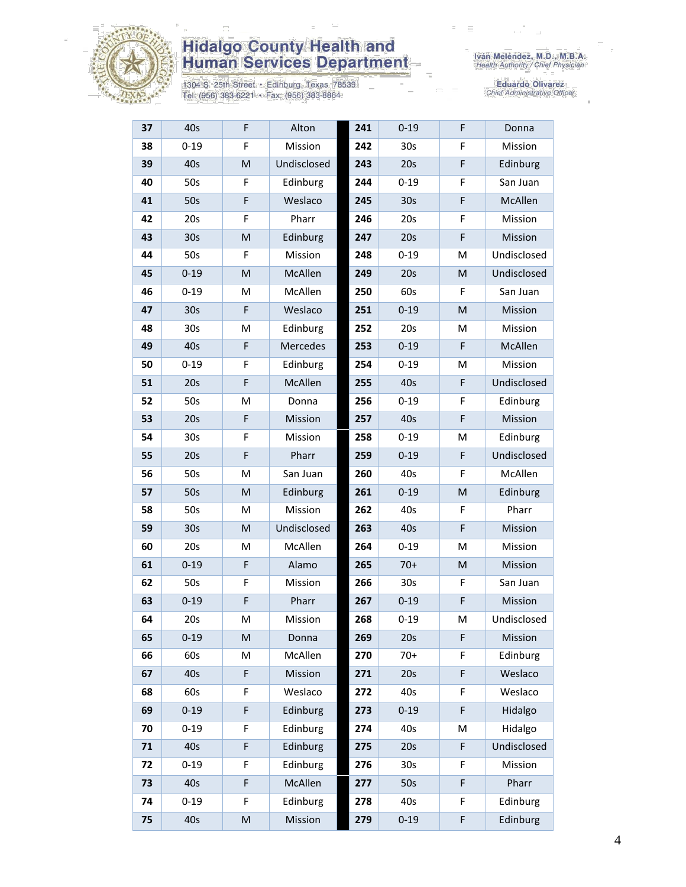

1304 S. 25th Street • Edinburg, Texas 78539<br>Tel: (956) 383-6221 • Fax: (956) 383-8864

| 37 | 40s             | $\mathsf F$ | Alton       | 241 | $0 - 19$        | F | Donna       |
|----|-----------------|-------------|-------------|-----|-----------------|---|-------------|
| 38 | $0 - 19$        | F           | Mission     | 242 | 30s             | F | Mission     |
| 39 | 40s             | M           | Undisclosed | 243 | 20s             | F | Edinburg    |
| 40 | 50s             | F           | Edinburg    | 244 | $0 - 19$        | F | San Juan    |
| 41 | 50s             | F           | Weslaco     | 245 | 30 <sub>s</sub> | F | McAllen     |
| 42 | 20s             | F           | Pharr       | 246 | 20s             | F | Mission     |
| 43 | 30 <sub>s</sub> | M           | Edinburg    | 247 | 20s             | F | Mission     |
| 44 | 50s             | F           | Mission     | 248 | $0 - 19$        | M | Undisclosed |
| 45 | $0 - 19$        | M           | McAllen     | 249 | 20s             | M | Undisclosed |
| 46 | $0 - 19$        | M           | McAllen     | 250 | 60s             | F | San Juan    |
| 47 | 30 <sub>s</sub> | F           | Weslaco     | 251 | $0 - 19$        | M | Mission     |
| 48 | 30 <sub>s</sub> | M           | Edinburg    | 252 | 20s             | м | Mission     |
| 49 | 40s             | F           | Mercedes    | 253 | $0 - 19$        | F | McAllen     |
| 50 | $0 - 19$        | F           | Edinburg    | 254 | $0 - 19$        | M | Mission     |
| 51 | 20s             | F           | McAllen     | 255 | 40s             | F | Undisclosed |
| 52 | 50s             | M           | Donna       | 256 | $0 - 19$        | F | Edinburg    |
| 53 | 20s             | $\mathsf F$ | Mission     | 257 | 40s             | F | Mission     |
| 54 | 30 <sub>s</sub> | $\mathsf F$ | Mission     | 258 | $0 - 19$        | M | Edinburg    |
| 55 | 20s             | F           | Pharr       | 259 | $0 - 19$        | F | Undisclosed |
| 56 | 50s             | M           | San Juan    | 260 | 40s             | F | McAllen     |
| 57 | 50s             | M           | Edinburg    | 261 | $0 - 19$        | M | Edinburg    |
| 58 | 50s             | M           | Mission     | 262 | 40s             | F | Pharr       |
| 59 | 30 <sub>s</sub> | M           | Undisclosed | 263 | 40s             | F | Mission     |
| 60 | 20s             | М           | McAllen     | 264 | $0 - 19$        | M | Mission     |
| 61 | $0 - 19$        | F           | Alamo       | 265 | $70+$           | M | Mission     |
| 62 | 50s             | F           | Mission     | 266 | 30 <sub>s</sub> | F | San Juan    |
| 63 | $0 - 19$        | $\mathsf F$ | Pharr       | 267 | $0 - 19$        | F | Mission     |
| 64 | 20s             | M           | Mission     | 268 | $0 - 19$        | M | Undisclosed |
| 65 | $0 - 19$        | M           | Donna       | 269 | 20s             | F | Mission     |
| 66 | 60s             | M           | McAllen     | 270 | $70+$           | F | Edinburg    |
| 67 | 40s             | F           | Mission     | 271 | 20s             | F | Weslaco     |
| 68 | 60s             | F           | Weslaco     | 272 | 40s             | F | Weslaco     |
| 69 | $0 - 19$        | F           | Edinburg    | 273 | $0 - 19$        | F | Hidalgo     |
| 70 | $0 - 19$        | F           | Edinburg    | 274 | 40s             | Μ | Hidalgo     |
| 71 | 40s             | F           | Edinburg    | 275 | 20s             | F | Undisclosed |
| 72 | $0 - 19$        | F           | Edinburg    | 276 | 30 <sub>s</sub> | F | Mission     |
| 73 | 40s             | F           | McAllen     | 277 | 50s             | F | Pharr       |
| 74 | $0 - 19$        | F           | Edinburg    | 278 | 40s             | F | Edinburg    |
| 75 | 40s             | M           | Mission     | 279 | $0 - 19$        | F | Edinburg    |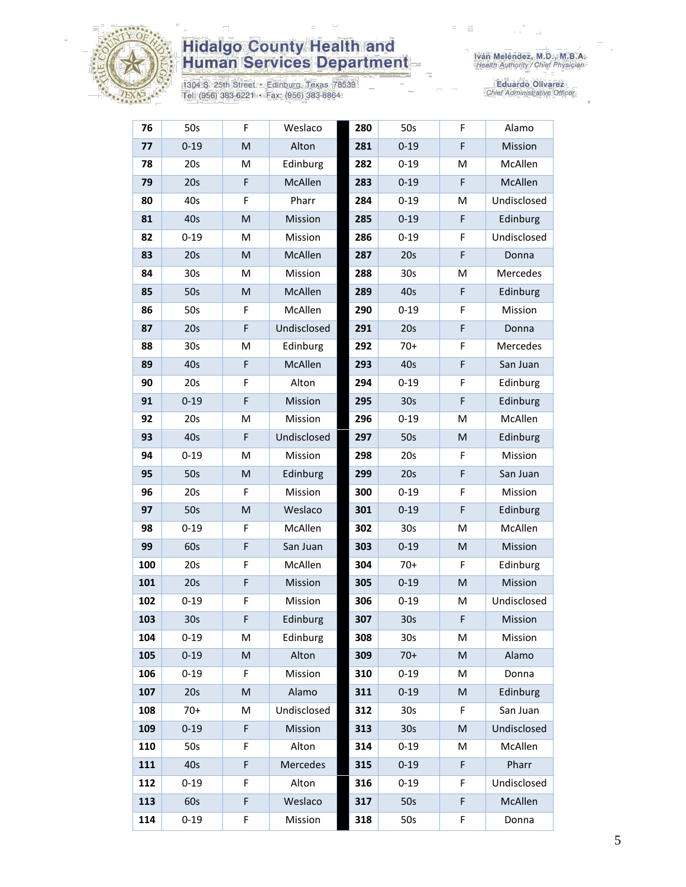

1304 S. 25th Street • Edinburg, Texas 78539<br>Tel: (956) 383-6221 • Fax: (956) 383-8864

Iván Meléndez, M.D., M.B.A.<br>Health Authority / Chief Physician

| 76  | 50s             | F | Weslaco         | 280 | 50s             | F | Alamo       |
|-----|-----------------|---|-----------------|-----|-----------------|---|-------------|
| 77  | $0 - 19$        | M | Alton           | 281 | $0 - 19$        | F | Mission     |
| 78  | 20s             | M | Edinburg        | 282 | $0 - 19$        | M | McAllen     |
| 79  | 20s             | F | McAllen         | 283 | $0 - 19$        | F | McAllen     |
| 80  | 40s             | F | Pharr           | 284 | $0 - 19$        | M | Undisclosed |
| 81  | 40s             | M | Mission         | 285 | $0 - 19$        | F | Edinburg    |
| 82  | $0 - 19$        | M | Mission         | 286 | $0 - 19$        | F | Undisclosed |
| 83  | 20s             | M | McAllen         | 287 | 20s             | F | Donna       |
| 84  | 30 <sub>s</sub> | M | Mission         | 288 | 30 <sub>s</sub> | M | Mercedes    |
| 85  | 50s             | M | McAllen         | 289 | 40s             | F | Edinburg    |
| 86  | 50s             | F | McAllen         | 290 | $0 - 19$        | F | Mission     |
| 87  | 20s             | F | Undisclosed     | 291 | 20s             | F | Donna       |
| 88  | 30s             | М | Edinburg        | 292 | $70+$           | F | Mercedes    |
| 89  | 40s             | F | McAllen         | 293 | 40s             | F | San Juan    |
| 90  | 20s             | F | Alton           | 294 | $0 - 19$        | F | Edinburg    |
| 91  | $0 - 19$        | F | Mission         | 295 | 30 <sub>s</sub> | F | Edinburg    |
| 92  | 20s             | M | Mission         | 296 | $0 - 19$        | M | McAllen     |
| 93  | 40s             | F | Undisclosed     | 297 | 50s             | M | Edinburg    |
| 94  | $0 - 19$        | M | Mission         | 298 | 20s             | F | Mission     |
| 95  | 50s             | M | Edinburg        | 299 | 20s             | F | San Juan    |
| 96  | 20s             | F | Mission         | 300 | $0 - 19$        | F | Mission     |
| 97  | 50s             | M | Weslaco         | 301 | $0 - 19$        | F | Edinburg    |
| 98  | $0 - 19$        | F | McAllen         | 302 | 30 <sub>s</sub> | M | McAllen     |
| 99  | 60s             | F | San Juan        | 303 | $0 - 19$        | M | Mission     |
| 100 | 20s             | F | McAllen         | 304 | $70+$           | F | Edinburg    |
| 101 | 20s             | F | Mission         | 305 | $0 - 19$        | M | Mission     |
| 102 | $0 - 19$        | F | Mission         | 306 | $0 - 19$        | M | Undisclosed |
| 103 | 30s             | F | Edinburg        | 307 | 30 <sub>s</sub> | F | Mission     |
| 104 | $0 - 19$        | M | Edinburg        | 308 | 30 <sub>s</sub> | M | Mission     |
| 105 | $0 - 19$        | M | Alton           | 309 | $70+$           | M | Alamo       |
| 106 | $0 - 19$        | F | Mission         | 310 | $0 - 19$        | M | Donna       |
| 107 | 20s             | M | Alamo           | 311 | $0 - 19$        | M | Edinburg    |
| 108 | $70+$           | M | Undisclosed     | 312 | 30 <sub>s</sub> | F | San Juan    |
| 109 | $0 - 19$        | F | Mission         | 313 | 30 <sub>s</sub> | M | Undisclosed |
| 110 | 50s             | F | Alton           | 314 | $0 - 19$        | M | McAllen     |
| 111 | 40s             | F | <b>Mercedes</b> | 315 | $0 - 19$        | F | Pharr       |
| 112 | $0 - 19$        | F | Alton           | 316 | $0 - 19$        | F | Undisclosed |
| 113 | 60s             | F | Weslaco         | 317 | 50s             | F | McAllen     |
| 114 | $0 - 19$        | F | Mission         | 318 | 50s             | F | Donna       |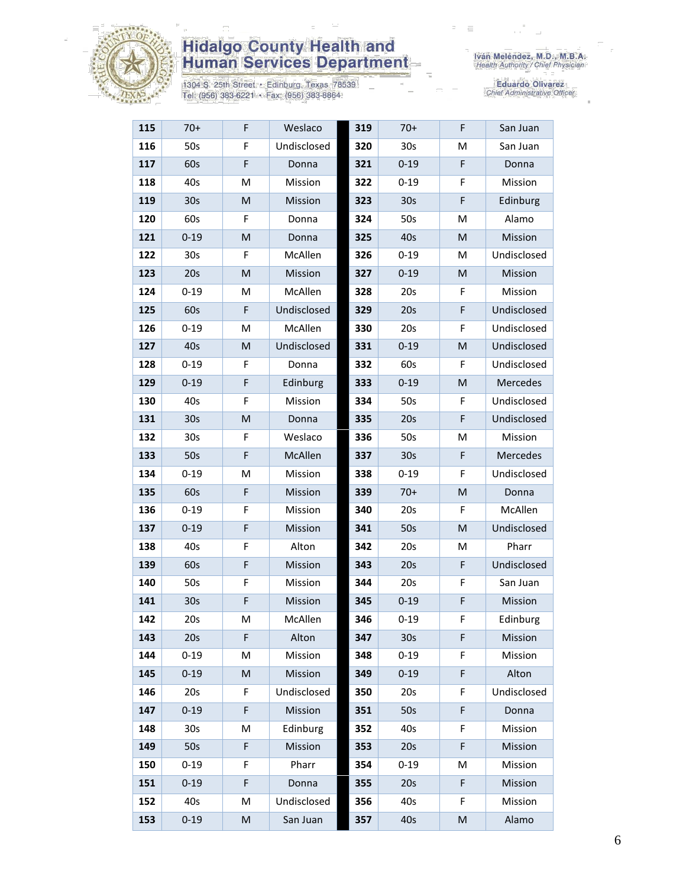

1304 S. 25th Street • Edinburg, Texas 78539<br>Tel: (956) 383-6221 • Fax: (956) 383-8864

Iván Meléndez, M.D., M.B.A.<br>Health Authority / Chief Physician

| 115 | $70+$           | F                                                                                                          | Weslaco     | 319 | $70+$           | F | San Juan    |
|-----|-----------------|------------------------------------------------------------------------------------------------------------|-------------|-----|-----------------|---|-------------|
| 116 | 50s             | F                                                                                                          | Undisclosed | 320 | 30s             | M | San Juan    |
| 117 | 60s             | F                                                                                                          | Donna       | 321 | $0 - 19$        | F | Donna       |
| 118 | 40s             | M                                                                                                          | Mission     | 322 | $0 - 19$        | F | Mission     |
| 119 | 30 <sub>s</sub> | M                                                                                                          | Mission     | 323 | 30 <sub>s</sub> | F | Edinburg    |
| 120 | 60s             | F                                                                                                          | Donna       | 324 | 50s             | M | Alamo       |
| 121 | $0 - 19$        | M                                                                                                          | Donna       | 325 | 40s             | M | Mission     |
| 122 | 30 <sub>s</sub> | F                                                                                                          | McAllen     | 326 | $0 - 19$        | M | Undisclosed |
| 123 | 20s             | M                                                                                                          | Mission     | 327 | $0 - 19$        | M | Mission     |
| 124 | $0 - 19$        | M                                                                                                          | McAllen     | 328 | 20s             | F | Mission     |
| 125 | 60s             | F                                                                                                          | Undisclosed | 329 | 20s             | F | Undisclosed |
| 126 | $0 - 19$        | M                                                                                                          | McAllen     | 330 | 20s             | F | Undisclosed |
| 127 | 40s             | M                                                                                                          | Undisclosed | 331 | $0 - 19$        | M | Undisclosed |
| 128 | $0 - 19$        | F                                                                                                          | Donna       | 332 | 60s             | F | Undisclosed |
| 129 | $0 - 19$        | F                                                                                                          | Edinburg    | 333 | $0 - 19$        | M | Mercedes    |
| 130 | 40s             | F                                                                                                          | Mission     | 334 | 50s             | F | Undisclosed |
| 131 | 30 <sub>s</sub> | M                                                                                                          | Donna       | 335 | 20s             | F | Undisclosed |
| 132 | 30 <sub>s</sub> | F                                                                                                          | Weslaco     | 336 | 50s             | M | Mission     |
| 133 | 50s             | F                                                                                                          | McAllen     | 337 | 30 <sub>s</sub> | F | Mercedes    |
| 134 | $0 - 19$        | М                                                                                                          | Mission     | 338 | $0 - 19$        | F | Undisclosed |
| 135 | 60s             | F                                                                                                          | Mission     | 339 | $70+$           | M | Donna       |
| 136 | $0 - 19$        | F                                                                                                          | Mission     | 340 | 20s             | F | McAllen     |
| 137 | $0 - 19$        | F                                                                                                          | Mission     | 341 | 50s             | M | Undisclosed |
| 138 | 40s             | F                                                                                                          | Alton       | 342 | 20s             | M | Pharr       |
| 139 | 60s             | F                                                                                                          | Mission     | 343 | 20s             | F | Undisclosed |
| 140 | 50s             | F                                                                                                          | Mission     | 344 | 20s             | F | San Juan    |
| 141 | 30 <sub>s</sub> | F                                                                                                          | Mission     | 345 | $0 - 19$        | F | Mission     |
| 142 | 20s             | M                                                                                                          | McAllen     | 346 | $0 - 19$        | F | Edinburg    |
| 143 | 20s             | F                                                                                                          | Alton       | 347 | 30 <sub>s</sub> | F | Mission     |
| 144 | $0 - 19$        | М                                                                                                          | Mission     | 348 | $0 - 19$        | F | Mission     |
| 145 | $0 - 19$        | M                                                                                                          | Mission     | 349 | $0 - 19$        | F | Alton       |
| 146 | 20s             | F                                                                                                          | Undisclosed | 350 | 20s             | F | Undisclosed |
| 147 | $0 - 19$        | F                                                                                                          | Mission     | 351 | 50s             | F | Donna       |
| 148 | 30s             | M                                                                                                          | Edinburg    | 352 | 40s             | F | Mission     |
| 149 | 50s             | $\mathsf F$                                                                                                | Mission     | 353 | 20s             | F | Mission     |
| 150 | $0 - 19$        | F                                                                                                          | Pharr       | 354 | $0 - 19$        | M | Mission     |
| 151 | $0 - 19$        | F                                                                                                          | Donna       | 355 | 20s             | F | Mission     |
| 152 | 40s             | M                                                                                                          | Undisclosed | 356 | 40s             | F | Mission     |
| 153 | $0 - 19$        | $\mathsf{M}% _{T}=\mathsf{M}_{T}\!\left( a,b\right) ,\ \mathsf{M}_{T}=\mathsf{M}_{T}\!\left( a,b\right) ,$ | San Juan    | 357 | 40s             | M | Alamo       |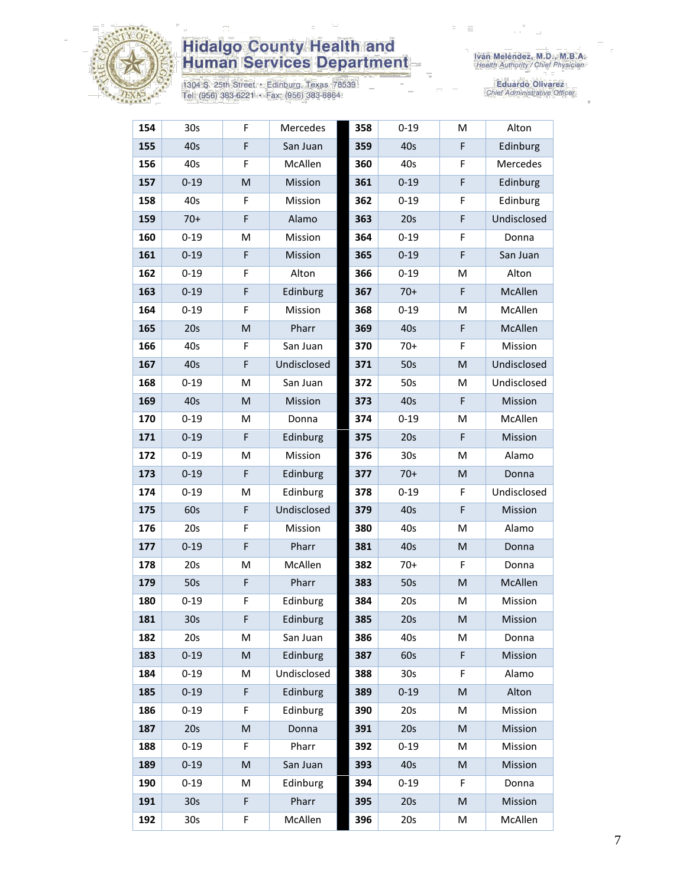

1304 S. 25th Street • Edinburg, Texas 78539<br>Tel: (956) 383-6221 • Fax: (956) 383-8864

| 154 | 30 <sub>s</sub> | F                                                                                                          | Mercedes    | 358 | $0 - 19$        | M | Alton       |
|-----|-----------------|------------------------------------------------------------------------------------------------------------|-------------|-----|-----------------|---|-------------|
| 155 | 40s             | F                                                                                                          | San Juan    | 359 | 40s             | F | Edinburg    |
| 156 | 40s             | F                                                                                                          | McAllen     | 360 | 40s             | F | Mercedes    |
| 157 | $0 - 19$        | M                                                                                                          | Mission     | 361 | $0 - 19$        | F | Edinburg    |
| 158 | 40s             | F                                                                                                          | Mission     | 362 | $0 - 19$        | F | Edinburg    |
| 159 | $70+$           | $\mathsf F$                                                                                                | Alamo       | 363 | 20s             | F | Undisclosed |
| 160 | $0 - 19$        | M                                                                                                          | Mission     | 364 | $0 - 19$        | F | Donna       |
| 161 | $0 - 19$        | F                                                                                                          | Mission     | 365 | $0 - 19$        | F | San Juan    |
| 162 | $0 - 19$        | F                                                                                                          | Alton       | 366 | $0 - 19$        | M | Alton       |
| 163 | $0 - 19$        | F                                                                                                          | Edinburg    | 367 | $70+$           | F | McAllen     |
| 164 | $0 - 19$        | F                                                                                                          | Mission     | 368 | $0 - 19$        | M | McAllen     |
| 165 | 20s             | M                                                                                                          | Pharr       | 369 | 40s             | F | McAllen     |
| 166 | 40s             | F                                                                                                          | San Juan    | 370 | $70+$           | F | Mission     |
| 167 | 40s             | F                                                                                                          | Undisclosed | 371 | 50s             | M | Undisclosed |
| 168 | $0 - 19$        | м                                                                                                          | San Juan    | 372 | 50s             | M | Undisclosed |
| 169 | 40s             | M                                                                                                          | Mission     | 373 | 40s             | F | Mission     |
| 170 | $0 - 19$        | M                                                                                                          | Donna       | 374 | $0 - 19$        | M | McAllen     |
| 171 | $0 - 19$        | F                                                                                                          | Edinburg    | 375 | 20s             | F | Mission     |
| 172 | $0 - 19$        | M                                                                                                          | Mission     | 376 | 30 <sub>s</sub> | M | Alamo       |
| 173 | $0 - 19$        | F                                                                                                          | Edinburg    | 377 | $70+$           | M | Donna       |
| 174 | $0 - 19$        | M                                                                                                          | Edinburg    | 378 | $0 - 19$        | F | Undisclosed |
| 175 | 60s             | F                                                                                                          | Undisclosed | 379 | 40s             | F | Mission     |
| 176 | 20s             | F                                                                                                          | Mission     | 380 | 40s             | M | Alamo       |
| 177 | $0 - 19$        | F                                                                                                          | Pharr       | 381 | 40s             | M | Donna       |
| 178 | 20s             | M                                                                                                          | McAllen     | 382 | $70+$           | F | Donna       |
| 179 | 50s             | $\mathsf F$                                                                                                | Pharr       | 383 | 50s             | M | McAllen     |
| 180 | $0 - 19$        | F                                                                                                          | Edinburg    | 384 | 20s             | М | Mission     |
| 181 | 30 <sub>s</sub> | F                                                                                                          | Edinburg    | 385 | 20s             | M | Mission     |
| 182 | 20s             | M                                                                                                          | San Juan    | 386 | 40s             | M | Donna       |
| 183 | $0 - 19$        | $\mathsf{M}% _{T}=\mathsf{M}_{T}\!\left( a,b\right) ,\ \mathsf{M}_{T}=\mathsf{M}_{T}\!\left( a,b\right) ,$ | Edinburg    | 387 | 60s             | F | Mission     |
| 184 | $0 - 19$        | M                                                                                                          | Undisclosed | 388 | 30 <sub>s</sub> | F | Alamo       |
| 185 | $0 - 19$        | F                                                                                                          | Edinburg    | 389 | $0 - 19$        | M | Alton       |
| 186 | $0 - 19$        | F                                                                                                          | Edinburg    | 390 | 20s             | M | Mission     |
| 187 | 20s             | M                                                                                                          | Donna       | 391 | 20s             | M | Mission     |
| 188 | $0 - 19$        | F                                                                                                          | Pharr       | 392 | $0 - 19$        | M | Mission     |
| 189 | $0 - 19$        | M                                                                                                          | San Juan    | 393 | 40s             | M | Mission     |
| 190 | $0 - 19$        | M                                                                                                          | Edinburg    | 394 | $0 - 19$        | F | Donna       |
| 191 | 30 <sub>s</sub> | F                                                                                                          | Pharr       | 395 | 20s             | M | Mission     |
| 192 | 30s             | F                                                                                                          | McAllen     | 396 | 20s             | M | McAllen     |